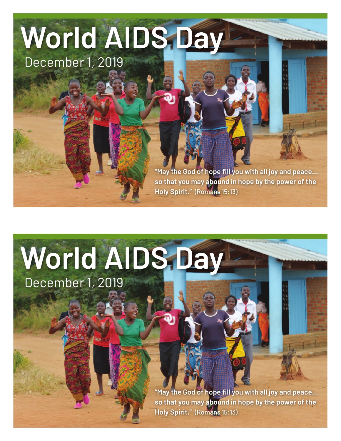## **World AIDS Day**  December 1, 2019

**"May the God of hope fill you with all joy and peace… so that you may abound in hope by the power of the Holy Spirit."** (Romans 15:13)

## **World AIDS Day**

December 1, 2019

**"May the God of hope fill you with all joy and peace… so that you may abound in hope by the power of the Holy Spirit."** (Romans 15:13)